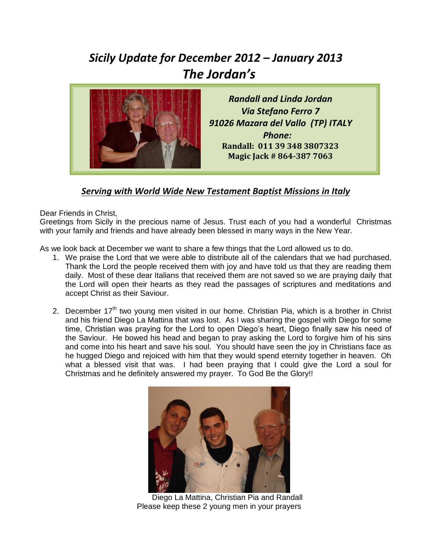## *Sicily Update for December 2012 – January 2013 The Jordan's*



*Randall and Linda Jordan Via Stefano Ferro 7 91026 Mazara del Vallo (TP) ITALY Phone:* **Randall: 011 39 348 3807323 Magic Jack # 864-387 7063**

## *Serving with World Wide New Testament Baptist Missions in Italy*

Dear Friends in Christ,

Greetings from Sicily in the precious name of Jesus. Trust each of you had a wonderful Christmas with your family and friends and have already been blessed in many ways in the New Year.

As we look back at December we want to share a few things that the Lord allowed us to do.

- 1. We praise the Lord that we were able to distribute all of the calendars that we had purchased. Thank the Lord the people received them with joy and have told us that they are reading them daily. Most of these dear Italians that received them are not saved so we are praying daily that the Lord will open their hearts as they read the passages of scriptures and meditations and accept Christ as their Saviour.
- 2. December  $17<sup>th</sup>$  two young men visited in our home. Christian Pia, which is a brother in Christ and his friend Diego La Mattina that was lost. As I was sharing the gospel with Diego for some time, Christian was praying for the Lord to open Diego's heart, Diego finally saw his need of the Saviour. He bowed his head and began to pray asking the Lord to forgive him of his sins and come into his heart and save his soul. You should have seen the joy in Christians face as he hugged Diego and rejoiced with him that they would spend eternity together in heaven. Oh what a blessed visit that was. I had been praying that I could give the Lord a soul for Christmas and he definitely answered my prayer. To God Be the Glory!!



 Diego La Mattina, Christian Pia and Randall Please keep these 2 young men in your prayers